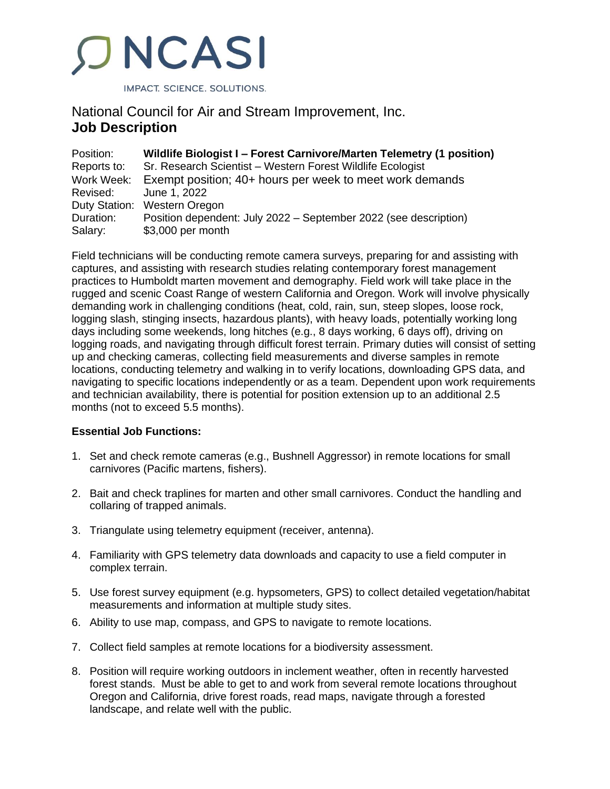

# National Council for Air and Stream Improvement, Inc. **Job Description**

| Position:   | Wildlife Biologist I - Forest Carnivore/Marten Telemetry (1 position) |
|-------------|-----------------------------------------------------------------------|
| Reports to: | Sr. Research Scientist - Western Forest Wildlife Ecologist            |
| Work Week:  | Exempt position; 40+ hours per week to meet work demands              |
| Revised:    | June 1, 2022                                                          |
|             | Duty Station: Western Oregon                                          |
| Duration:   | Position dependent: July 2022 – September 2022 (see description)      |
| Salary:     | \$3,000 per month                                                     |

Field technicians will be conducting remote camera surveys, preparing for and assisting with captures, and assisting with research studies relating contemporary forest management practices to Humboldt marten movement and demography. Field work will take place in the rugged and scenic Coast Range of western California and Oregon. Work will involve physically demanding work in challenging conditions (heat, cold, rain, sun, steep slopes, loose rock, logging slash, stinging insects, hazardous plants), with heavy loads, potentially working long days including some weekends, long hitches (e.g., 8 days working, 6 days off), driving on logging roads, and navigating through difficult forest terrain. Primary duties will consist of setting up and checking cameras, collecting field measurements and diverse samples in remote locations, conducting telemetry and walking in to verify locations, downloading GPS data, and navigating to specific locations independently or as a team. Dependent upon work requirements and technician availability, there is potential for position extension up to an additional 2.5 months (not to exceed 5.5 months).

# **Essential Job Functions:**

- 1. Set and check remote cameras (e.g., Bushnell Aggressor) in remote locations for small carnivores (Pacific martens, fishers).
- 2. Bait and check traplines for marten and other small carnivores. Conduct the handling and collaring of trapped animals.
- 3. Triangulate using telemetry equipment (receiver, antenna).
- 4. Familiarity with GPS telemetry data downloads and capacity to use a field computer in complex terrain.
- 5. Use forest survey equipment (e.g. hypsometers, GPS) to collect detailed vegetation/habitat measurements and information at multiple study sites.
- 6. Ability to use map, compass, and GPS to navigate to remote locations.
- 7. Collect field samples at remote locations for a biodiversity assessment.
- 8. Position will require working outdoors in inclement weather, often in recently harvested forest stands. Must be able to get to and work from several remote locations throughout Oregon and California, drive forest roads, read maps, navigate through a forested landscape, and relate well with the public.